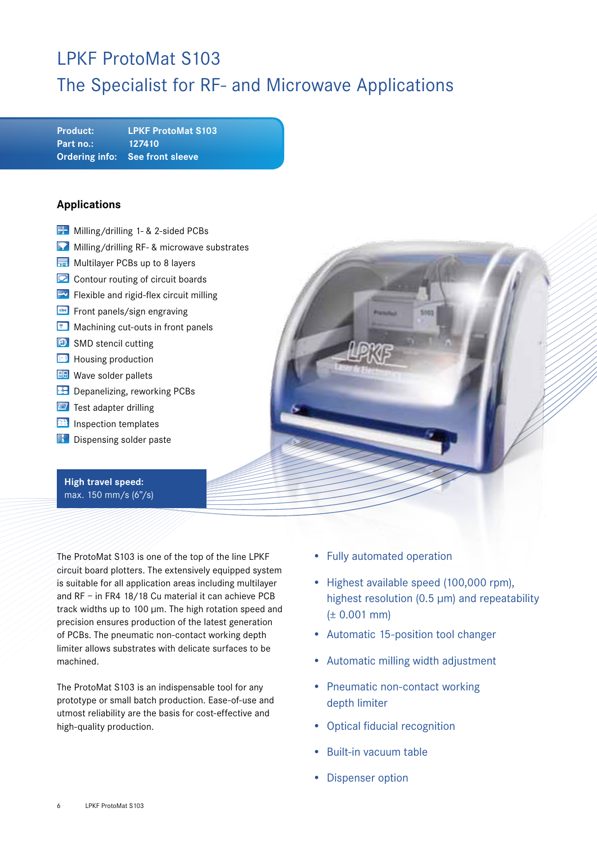# LPKF ProtoMat S103 The Specialist for RF- and Microwave Applications

**Product: LPKF ProtoMat S103 Part no.: 127410 Ordering info: See front sleeve**

#### **Applications**

- $\frac{1}{2}$  Milling/drilling 1- & 2-sided PCBs
- **Milling/drilling RF- & microwave substrates**
- Multilayer PCBs up to 8 layers
- Contour routing of circuit boards
- $\triangleright$  Flexible and rigid-flex circuit milling
- **Example 5 Front panels/sign engraving**
- **Machining cut-outs in front panels**
- $\bullet$  SMD stencil cutting
- **E** Housing production
- **HH** Wave solder pallets
- **B** Depanelizing, reworking PCBs
- **Fig.** Test adapter drilling
- **B** Inspection templates
- **Dispensing solder paste**

#### **High travel speed:**  max. 150 mm/s (6"/s)

The ProtoMat S103 is one of the top of the line LPKF circuit board plotters. The extensively equipped system is suitable for all application areas including multilayer and RF – in FR4 18/18 Cu material it can achieve PCB track widths up to 100 μm. The high rotation speed and precision ensures production of the latest generation of PCBs. The pneumatic non-contact working depth limiter allows substrates with delicate surfaces to be machined.

The ProtoMat S103 is an indispensable tool for any prototype or small batch production. Ease-of-use and utmost reliability are the basis for cost-effective and high-quality production.

- Fully automated operation
- Highest available speed (100,000 rpm), highest resolution (0.5 μm) and repeatability (± 0.001 mm)
- Automatic 15-position tool changer
- Automatic milling width adjustment
- Pneumatic non-contact working depth limiter
- Optical fiducial recognition
- Built-in vacuum table
- Dispenser option